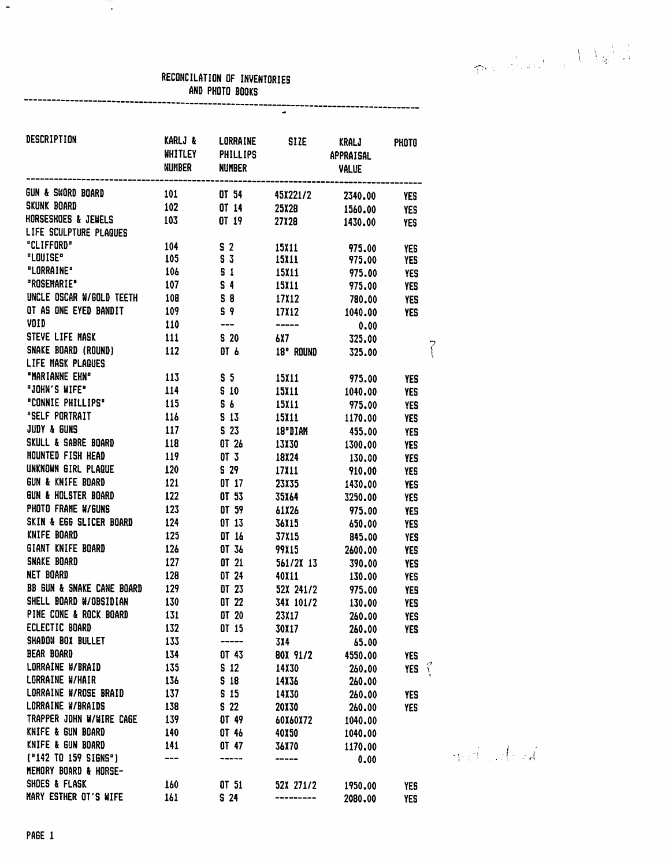Production Maled

## RECONCILATION OF INVENTORIES AND PHOTO BOOKS ---------------------

---<br>-

| DESCRIPTION                          | KARLJ &<br><b>WHITLEY</b> | LORRAINE<br><b>PHILLIPS</b>                                                                                                                                                                                                                                                                                                                                                                                                                                                     | <b>SIZE</b>                                                                                                                                                                                                                                                                                                                                                                                                                                     | KRALJ<br><b>APPRAISAL</b> | PHOTO          |
|--------------------------------------|---------------------------|---------------------------------------------------------------------------------------------------------------------------------------------------------------------------------------------------------------------------------------------------------------------------------------------------------------------------------------------------------------------------------------------------------------------------------------------------------------------------------|-------------------------------------------------------------------------------------------------------------------------------------------------------------------------------------------------------------------------------------------------------------------------------------------------------------------------------------------------------------------------------------------------------------------------------------------------|---------------------------|----------------|
|                                      | NUMBER                    | <b>NUMBER</b>                                                                                                                                                                                                                                                                                                                                                                                                                                                                   |                                                                                                                                                                                                                                                                                                                                                                                                                                                 | <b>VALUE</b>              |                |
| GUN & SWORD BOARD                    | ----------<br>101         |                                                                                                                                                                                                                                                                                                                                                                                                                                                                                 |                                                                                                                                                                                                                                                                                                                                                                                                                                                 | ----------------------    |                |
| <b>SKUNK BOARD</b>                   | 102                       | OT 54<br>OT 14                                                                                                                                                                                                                                                                                                                                                                                                                                                                  | 45X221/2                                                                                                                                                                                                                                                                                                                                                                                                                                        | 2340.00                   | YES            |
| <b>HORSESHOES &amp; JEWELS</b>       | 103                       | OT 19                                                                                                                                                                                                                                                                                                                                                                                                                                                                           | 25X28                                                                                                                                                                                                                                                                                                                                                                                                                                           | 1560.00                   | <b>YES</b>     |
| LIFE SCULPTURE PLAQUES               |                           |                                                                                                                                                                                                                                                                                                                                                                                                                                                                                 | 27X28                                                                                                                                                                                                                                                                                                                                                                                                                                           | 1430.00                   | <b>YES</b>     |
| "CLIFFORD"                           | 104                       | S <sub>2</sub>                                                                                                                                                                                                                                                                                                                                                                                                                                                                  | 15X11                                                                                                                                                                                                                                                                                                                                                                                                                                           | 975.00                    |                |
| "LOUISE"                             | 105 S 3                   |                                                                                                                                                                                                                                                                                                                                                                                                                                                                                 | 15X11                                                                                                                                                                                                                                                                                                                                                                                                                                           | 975.00                    | YES<br>YES     |
| "LORRAINE"                           | 106                       | S <sub>1</sub>                                                                                                                                                                                                                                                                                                                                                                                                                                                                  | 15X11                                                                                                                                                                                                                                                                                                                                                                                                                                           | 975.00                    | YES            |
| "ROSEMARIE"                          | 107                       | $S = 4$                                                                                                                                                                                                                                                                                                                                                                                                                                                                         | 15X11                                                                                                                                                                                                                                                                                                                                                                                                                                           | 975.00                    | YES            |
| UNCLE OSCAR W/GOLD TEETH 108         |                           | $\overline{\phantom{a}}$ $\overline{\phantom{a}}$ $\overline{\phantom{a}}$ $\overline{\phantom{a}}$ $\overline{\phantom{a}}$ $\overline{\phantom{a}}$ $\overline{\phantom{a}}$ $\overline{\phantom{a}}$ $\overline{\phantom{a}}$ $\overline{\phantom{a}}$ $\overline{\phantom{a}}$ $\overline{\phantom{a}}$ $\overline{\phantom{a}}$ $\overline{\phantom{a}}$ $\overline{\phantom{a}}$ $\overline{\phantom{a}}$ $\overline{\phantom{a}}$ $\overline{\phantom{a}}$ $\overline{\$ | 17812                                                                                                                                                                                                                                                                                                                                                                                                                                           | 780.00                    | YES            |
| OT AS ONE EYED BANDIT                | 109                       | S <sub>9</sub>                                                                                                                                                                                                                                                                                                                                                                                                                                                                  | 17812                                                                                                                                                                                                                                                                                                                                                                                                                                           | 1040.00                   | <b>YES</b>     |
| VOID                                 | 110                       | ---                                                                                                                                                                                                                                                                                                                                                                                                                                                                             | $\begin{tabular}{cc} \bf{6.4\textwidth} & \bf{6.4\textwidth} & \bf{6.4\textwidth} \\ \bf{7.4\textwidth} & \bf{8.4\textwidth} & \bf{8.4\textwidth} \\ \bf{9.4\textwidth} & \bf{9.4\textwidth} & \bf{9.4\textwidth} \\ \bf{1.4\textwidth} & \bf{1.4\textwidth} & \bf{1.4\textwidth} \\ \bf{1.4\textwidth} & \bf{1.4\textwidth} & \bf{1.4\textwidth} \\ \bf{1.4\textwidth} & \bf{1.4\textwidth} & \bf{1.4\textwidth} \\ \bf{1.4\textwidth} & \bf{$ | 0.00                      |                |
| STEVE LIFE MASK                      | $\overline{111}$          | S 20                                                                                                                                                                                                                                                                                                                                                                                                                                                                            | 6X7 — 1                                                                                                                                                                                                                                                                                                                                                                                                                                         | 325.00                    |                |
| SNAKE BOARD (ROUND)                  | 112                       | OT 6                                                                                                                                                                                                                                                                                                                                                                                                                                                                            | 18" ROUND                                                                                                                                                                                                                                                                                                                                                                                                                                       | 325.00                    |                |
| LIFE MASK PLAQUES                    |                           |                                                                                                                                                                                                                                                                                                                                                                                                                                                                                 |                                                                                                                                                                                                                                                                                                                                                                                                                                                 |                           |                |
| "MARIANNE EHN"                       | 113                       | S <sub>5</sub>                                                                                                                                                                                                                                                                                                                                                                                                                                                                  | 15X11                                                                                                                                                                                                                                                                                                                                                                                                                                           | 975.00                    | <b>YES</b>     |
| <b>"JOHN'S WIFE"</b>                 | 114                       | S <sub>10</sub>                                                                                                                                                                                                                                                                                                                                                                                                                                                                 | 15X11                                                                                                                                                                                                                                                                                                                                                                                                                                           | 1040.00                   | YES            |
| "CONNIE PHILLIPS"                    | 115                       | 5 <sub>6</sub>                                                                                                                                                                                                                                                                                                                                                                                                                                                                  | 15X11                                                                                                                                                                                                                                                                                                                                                                                                                                           | 975.00                    | <b>YES</b>     |
| "SELF PORTRAIT                       | 116                       | S <sub>13</sub>                                                                                                                                                                                                                                                                                                                                                                                                                                                                 | 15X11                                                                                                                                                                                                                                                                                                                                                                                                                                           | 1170.00                   | <b>YES</b>     |
| JUDY & GUNS                          | 117                       | S <sub>23</sub>                                                                                                                                                                                                                                                                                                                                                                                                                                                                 | 18"DIAM                                                                                                                                                                                                                                                                                                                                                                                                                                         | 455.00                    | <b>YES</b>     |
| <b>SKULL &amp; SABRE BOARD</b>       | 118                       | $0l$ 26                                                                                                                                                                                                                                                                                                                                                                                                                                                                         | 13830                                                                                                                                                                                                                                                                                                                                                                                                                                           | 1300.00                   | <b>YES</b>     |
| MOUNTED FISH HEAD                    | 119                       | $0T$ 3                                                                                                                                                                                                                                                                                                                                                                                                                                                                          | 18824                                                                                                                                                                                                                                                                                                                                                                                                                                           | 130.00                    | <b>YES</b>     |
| UNKNOWN GIRL PLAQUE                  | 120                       | S 29                                                                                                                                                                                                                                                                                                                                                                                                                                                                            | 17X11                                                                                                                                                                                                                                                                                                                                                                                                                                           | 910.00                    | <b>YES</b>     |
| <b>GUN &amp; KNIFE BOARD</b>         | 121                       | 0T <sub>17</sub>                                                                                                                                                                                                                                                                                                                                                                                                                                                                | 23X35                                                                                                                                                                                                                                                                                                                                                                                                                                           | 1430.00                   | YES            |
| <b>GUN &amp; HOLSTER BOARD</b>       | 122                       | OT 53                                                                                                                                                                                                                                                                                                                                                                                                                                                                           | 35X64                                                                                                                                                                                                                                                                                                                                                                                                                                           | 3250.00                   | <b>YES</b>     |
| PHOTO FRAME W/GUNS                   | 123                       | OT 59                                                                                                                                                                                                                                                                                                                                                                                                                                                                           | 61X26                                                                                                                                                                                                                                                                                                                                                                                                                                           | 975.00                    | <b>YES</b>     |
| SKIN & EGG SLICER BOARD              | 124                       | OT 13                                                                                                                                                                                                                                                                                                                                                                                                                                                                           | 36X15                                                                                                                                                                                                                                                                                                                                                                                                                                           | 650.00                    | YES            |
| KNIFE BOARD                          | 125                       | OT 16                                                                                                                                                                                                                                                                                                                                                                                                                                                                           | 37X15                                                                                                                                                                                                                                                                                                                                                                                                                                           | 845.00                    | <b>YES</b>     |
| <b>GIANT KNIFE BOARD</b>             | 126                       | OT 36                                                                                                                                                                                                                                                                                                                                                                                                                                                                           | 99X15                                                                                                                                                                                                                                                                                                                                                                                                                                           | 2600.00                   | YES            |
| SNAKE BOARD                          | 127                       | 0T <sub>21</sub>                                                                                                                                                                                                                                                                                                                                                                                                                                                                | 561/2X 13                                                                                                                                                                                                                                                                                                                                                                                                                                       | 390.00                    | <b>YES</b>     |
| <b>NET BOARD</b>                     | 128                       | OT 24                                                                                                                                                                                                                                                                                                                                                                                                                                                                           | 40X11                                                                                                                                                                                                                                                                                                                                                                                                                                           | 130.00                    | YES            |
| <b>BB GUN &amp; SNAKE CANE BOARD</b> | 129                       | OT 23                                                                                                                                                                                                                                                                                                                                                                                                                                                                           | 52X 241/2                                                                                                                                                                                                                                                                                                                                                                                                                                       | 975.00                    | <b>YES</b>     |
| SHELL BOARD W/OBSIDIAN               | 130                       | OT 22                                                                                                                                                                                                                                                                                                                                                                                                                                                                           | 34X 101/2                                                                                                                                                                                                                                                                                                                                                                                                                                       | 130.00                    | <b>YES</b>     |
| PINE CONE & ROCK BOARD               | 131                       | OT 20                                                                                                                                                                                                                                                                                                                                                                                                                                                                           | 23X17                                                                                                                                                                                                                                                                                                                                                                                                                                           | 260.00                    | <b>YES</b>     |
| ECLECTIC BOARD                       | 132                       | OT 15                                                                                                                                                                                                                                                                                                                                                                                                                                                                           | 30X17                                                                                                                                                                                                                                                                                                                                                                                                                                           | 260.00                    | YES            |
| SHADOW BOX BULLET                    | 133                       | -----                                                                                                                                                                                                                                                                                                                                                                                                                                                                           | 3X4                                                                                                                                                                                                                                                                                                                                                                                                                                             | 65.00                     |                |
| <b>BEAR BOARD</b>                    | 134                       | OT 43                                                                                                                                                                                                                                                                                                                                                                                                                                                                           | 80X 91/2                                                                                                                                                                                                                                                                                                                                                                                                                                        | 4550.00                   | <b>YES</b>     |
| LORRAINE W/BRAID                     | 135                       | S <sub>12</sub>                                                                                                                                                                                                                                                                                                                                                                                                                                                                 | 14X30                                                                                                                                                                                                                                                                                                                                                                                                                                           | 260.00                    | YES $\sqrt{2}$ |
| LORRAINE W/HAIR                      | 136                       | S 18                                                                                                                                                                                                                                                                                                                                                                                                                                                                            | 14X36                                                                                                                                                                                                                                                                                                                                                                                                                                           | 260.00                    |                |
| LORRAINE W/ROSE BRAID                | 137                       | S <sub>15</sub>                                                                                                                                                                                                                                                                                                                                                                                                                                                                 | 14X30                                                                                                                                                                                                                                                                                                                                                                                                                                           | 260.00                    | <b>YES</b>     |
| LORRAINE W/BRAIDS                    | 138                       | S <sub>22</sub>                                                                                                                                                                                                                                                                                                                                                                                                                                                                 | <b>20X30</b>                                                                                                                                                                                                                                                                                                                                                                                                                                    | 260.00                    | <b>YES</b>     |
| TRAPPER JOHN W/WIRE CAGE             | 139                       | OT 49                                                                                                                                                                                                                                                                                                                                                                                                                                                                           | 60X60X72                                                                                                                                                                                                                                                                                                                                                                                                                                        | 1040.00                   |                |
| KNIFE & GUN BOARD                    | 140                       | OT 46                                                                                                                                                                                                                                                                                                                                                                                                                                                                           | 40X50                                                                                                                                                                                                                                                                                                                                                                                                                                           | 1040.00                   |                |
| KNIFE & GUN BOARD                    | 141                       | OT 47                                                                                                                                                                                                                                                                                                                                                                                                                                                                           | 36X70                                                                                                                                                                                                                                                                                                                                                                                                                                           | 1170.00                   |                |
| ("142 TO 159 SIGNS")                 | $---$                     |                                                                                                                                                                                                                                                                                                                                                                                                                                                                                 | ------                                                                                                                                                                                                                                                                                                                                                                                                                                          | 0.00                      |                |
| <b>MEMORY BOARD &amp; HORSE-</b>     |                           |                                                                                                                                                                                                                                                                                                                                                                                                                                                                                 |                                                                                                                                                                                                                                                                                                                                                                                                                                                 |                           |                |
| SHOES & FLASK                        | 160                       | OT 51                                                                                                                                                                                                                                                                                                                                                                                                                                                                           | 52X 271/2                                                                                                                                                                                                                                                                                                                                                                                                                                       | 1950.00                   | <b>YES</b>     |
| MARY ESTHER OT'S WIFE                | 161                       | S <sub>24</sub>                                                                                                                                                                                                                                                                                                                                                                                                                                                                 | ---------                                                                                                                                                                                                                                                                                                                                                                                                                                       | 2080.00                   | <b>YES</b>     |

 $\frac{1}{\sqrt{2}}$ 

T,